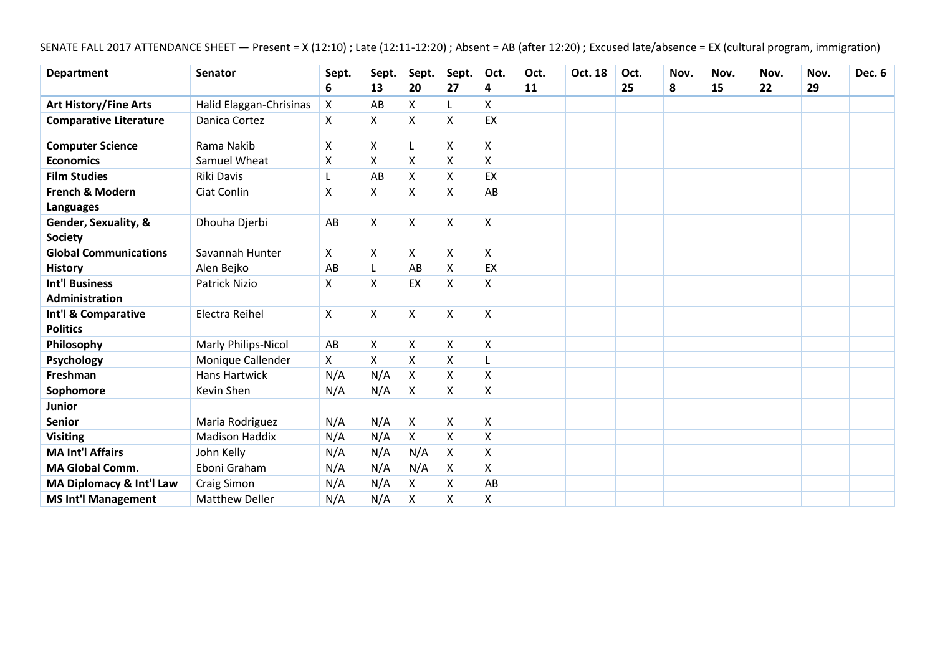SENATE FALL 2017 ATTENDANCE SHEET — Present = X (12:10) ; Late (12:11-12:20) ; Absent = AB (after 12:20) ; Excused late/absence = EX (cultural program, immigration)

| <b>Department</b>                              | <b>Senator</b>          | Sept. | Sept. | Sept.                     | Sept.        | Oct.               | Oct. | Oct. 18 | Oct. | Nov. | Nov. | Nov. | Nov. | <b>Dec. 6</b> |
|------------------------------------------------|-------------------------|-------|-------|---------------------------|--------------|--------------------|------|---------|------|------|------|------|------|---------------|
|                                                |                         | 6     | 13    | 20                        | 27           | 4                  | 11   |         | 25   | 8    | 15   | 22   | 29   |               |
| <b>Art History/Fine Arts</b>                   | Halid Elaggan-Chrisinas | X     | AB    | X                         | L            | X                  |      |         |      |      |      |      |      |               |
| <b>Comparative Literature</b>                  | Danica Cortez           | X     | X     | X                         | X            | EX                 |      |         |      |      |      |      |      |               |
| <b>Computer Science</b>                        | Rama Nakib              | Χ     | X     | L                         | X            | X                  |      |         |      |      |      |      |      |               |
| <b>Economics</b>                               | Samuel Wheat            | X     | X     | X                         | X            | X                  |      |         |      |      |      |      |      |               |
| <b>Film Studies</b>                            | <b>Riki Davis</b>       | L     | AB    | X                         | X            | EX                 |      |         |      |      |      |      |      |               |
| French & Modern<br><b>Languages</b>            | Ciat Conlin             | X     | X     | Χ                         | X            | AB                 |      |         |      |      |      |      |      |               |
| Gender, Sexuality, &<br><b>Society</b>         | Dhouha Djerbi           | AB    | Χ     | X                         | $\mathsf{X}$ | X                  |      |         |      |      |      |      |      |               |
| <b>Global Communications</b>                   | Savannah Hunter         | X     | X     | Χ                         | X            | X                  |      |         |      |      |      |      |      |               |
| <b>History</b>                                 | Alen Bejko              | AB    |       | AB                        | X            | EX                 |      |         |      |      |      |      |      |               |
| <b>Int'l Business</b><br><b>Administration</b> | <b>Patrick Nizio</b>    | Χ     | X     | EX                        | Χ            | X                  |      |         |      |      |      |      |      |               |
| Int'l & Comparative<br><b>Politics</b>         | Electra Reihel          | X     | X     | Χ                         | X            | X                  |      |         |      |      |      |      |      |               |
| Philosophy                                     | Marly Philips-Nicol     | AB    | X     | X                         | X            | X                  |      |         |      |      |      |      |      |               |
| Psychology                                     | Monique Callender       | X     | X     | Χ                         | X            | L                  |      |         |      |      |      |      |      |               |
| Freshman                                       | <b>Hans Hartwick</b>    | N/A   | N/A   | $\boldsymbol{\mathsf{X}}$ | X            | $\pmb{\mathsf{X}}$ |      |         |      |      |      |      |      |               |
| Sophomore                                      | Kevin Shen              | N/A   | N/A   | Χ                         | Χ            | Χ                  |      |         |      |      |      |      |      |               |
| <b>Junior</b>                                  |                         |       |       |                           |              |                    |      |         |      |      |      |      |      |               |
| <b>Senior</b>                                  | Maria Rodriguez         | N/A   | N/A   | $\pmb{\times}$            | X            | $\pmb{\mathsf{X}}$ |      |         |      |      |      |      |      |               |
| <b>Visiting</b>                                | <b>Madison Haddix</b>   | N/A   | N/A   | X                         | X            | $\pmb{\mathsf{X}}$ |      |         |      |      |      |      |      |               |
| <b>MA Int'l Affairs</b>                        | John Kelly              | N/A   | N/A   | N/A                       | X            | $\pmb{\mathsf{X}}$ |      |         |      |      |      |      |      |               |
| <b>MA Global Comm.</b>                         | Eboni Graham            | N/A   | N/A   | N/A                       | X            | $\pmb{\times}$     |      |         |      |      |      |      |      |               |
| MA Diplomacy & Int'l Law                       | Craig Simon             | N/A   | N/A   | X                         | X            | AB                 |      |         |      |      |      |      |      |               |
| <b>MS Int'l Management</b>                     | <b>Matthew Deller</b>   | N/A   | N/A   | X                         | X            | Χ                  |      |         |      |      |      |      |      |               |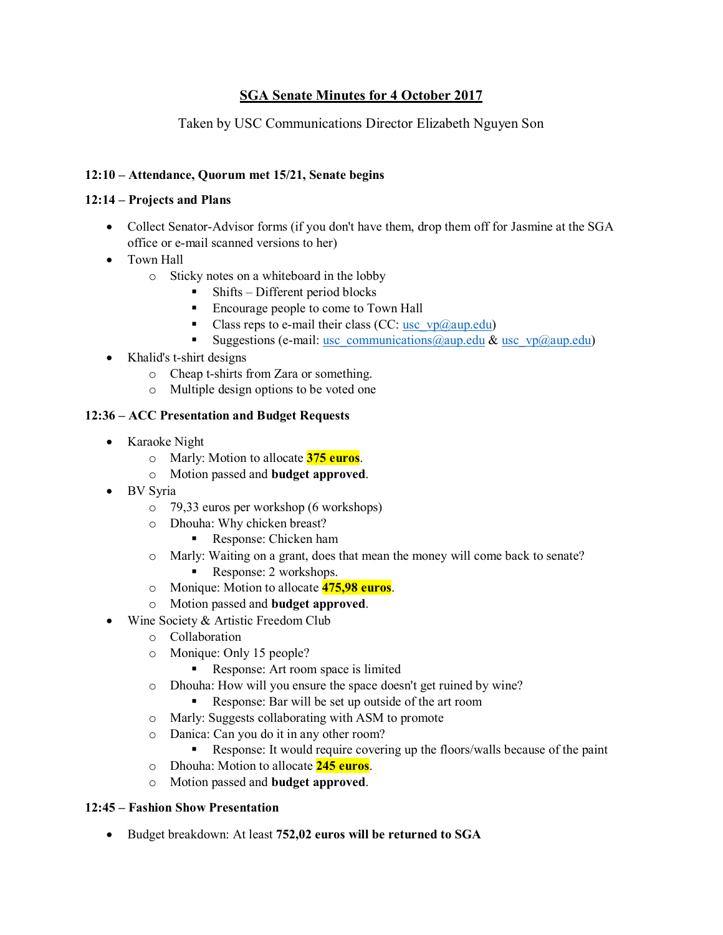## **SGA Senate Minutes for 4 October 2017**

### Taken by USC Communications Director Elizabeth Nguyen Son

### **12:10 – Attendance, Quorum met 15/21, Senate begins**

### **12:14 – Projects and Plans**

- Collect Senator-Advisor forms (if you don't have them, drop them off for Jasmine at the SGA office or e-mail scanned versions to her)
- Town Hall
	- o Sticky notes on a whiteboard in the lobby
		- Shifts Different period blocks
		- Encourage people to come to Town Hall
		- **•** Class reps to e-mail their class (CC: usc  $vp(\partial_0aup.edu)$ )
		- Suggestions (e-mail: [usc\\_communications@aup.edu](mailto:usc_communications@aup.edu) & [usc\\_vp@aup.edu\)](mailto:usc_vp@aup.edu)
- Khalid's t-shirt designs
	- o Cheap t-shirts from Zara or something.
	- o Multiple design options to be voted one

### **12:36 – ACC Presentation and Budget Requests**

- Karaoke Night
	- o Marly: Motion to allocate **375 euros**.
	- o Motion passed and **budget approved**.
- BV Syria
	- o 79,33 euros per workshop (6 workshops)
	- o Dhouha: Why chicken breast?
		- Response: Chicken ham
	- o Marly: Waiting on a grant, does that mean the money will come back to senate?
		- Response: 2 workshops.
	- o Monique: Motion to allocate **475,98 euros**.
	- o Motion passed and **budget approved**.
- Wine Society & Artistic Freedom Club
	- o Collaboration
	- o Monique: Only 15 people?
		- Response: Art room space is limited
	- o Dhouha: How will you ensure the space doesn't get ruined by wine?
		- Response: Bar will be set up outside of the art room
	- o Marly: Suggests collaborating with ASM to promote
	- o Danica: Can you do it in any other room?
		- Response: It would require covering up the floors/walls because of the paint
	- o Dhouha: Motion to allocate **245 euros**.
	- o Motion passed and **budget approved**.

### **12:45 – Fashion Show Presentation**

• Budget breakdown: At least **752,02 euros will be returned to SGA**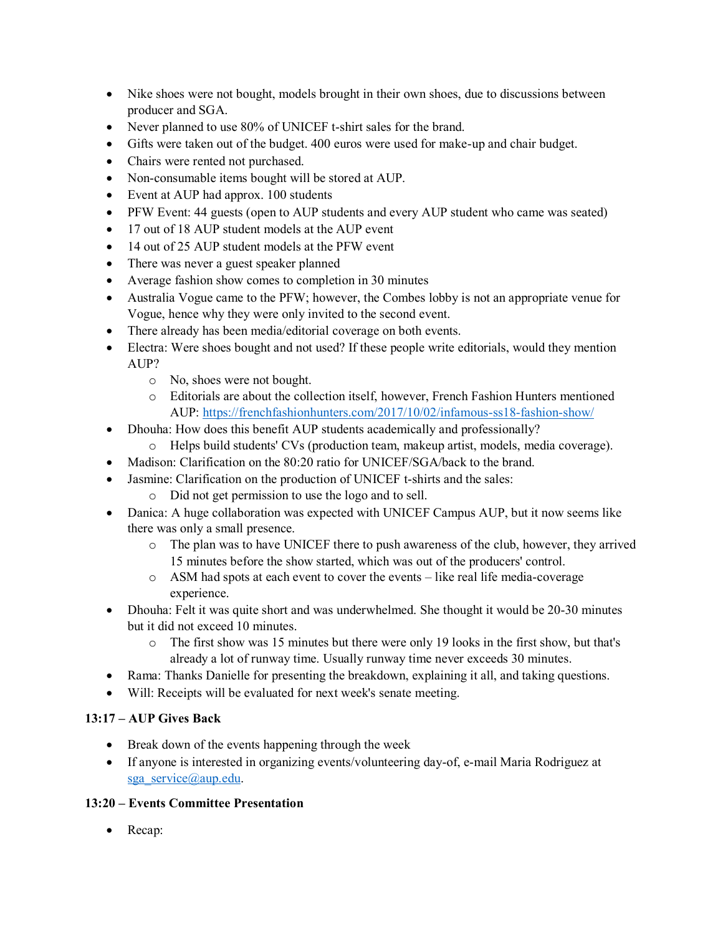- Nike shoes were not bought, models brought in their own shoes, due to discussions between producer and SGA.
- Never planned to use 80% of UNICEF t-shirt sales for the brand.
- Gifts were taken out of the budget. 400 euros were used for make-up and chair budget.
- Chairs were rented not purchased.
- Non-consumable items bought will be stored at AUP.
- Event at AUP had approx. 100 students
- PFW Event: 44 guests (open to AUP students and every AUP student who came was seated)
- 17 out of 18 AUP student models at the AUP event
- 14 out of 25 AUP student models at the PFW event
- There was never a guest speaker planned
- Average fashion show comes to completion in 30 minutes
- Australia Vogue came to the PFW; however, the Combes lobby is not an appropriate venue for Vogue, hence why they were only invited to the second event.
- There already has been media/editorial coverage on both events.
- Electra: Were shoes bought and not used? If these people write editorials, would they mention AUP?
	- o No, shoes were not bought.
	- o Editorials are about the collection itself, however, French Fashion Hunters mentioned AUP:<https://frenchfashionhunters.com/2017/10/02/infamous-ss18-fashion-show/>
- Dhouha: How does this benefit AUP students academically and professionally?
	- o Helps build students' CVs (production team, makeup artist, models, media coverage).
- Madison: Clarification on the 80:20 ratio for UNICEF/SGA/back to the brand.
- Jasmine: Clarification on the production of UNICEF t-shirts and the sales:
	- o Did not get permission to use the logo and to sell.
- Danica: A huge collaboration was expected with UNICEF Campus AUP, but it now seems like there was only a small presence.
	- o The plan was to have UNICEF there to push awareness of the club, however, they arrived 15 minutes before the show started, which was out of the producers' control.
	- o ASM had spots at each event to cover the events like real life media-coverage experience.
- Dhouha: Felt it was quite short and was underwhelmed. She thought it would be 20-30 minutes but it did not exceed 10 minutes.
	- o The first show was 15 minutes but there were only 19 looks in the first show, but that's already a lot of runway time. Usually runway time never exceeds 30 minutes.
- Rama: Thanks Danielle for presenting the breakdown, explaining it all, and taking questions.
- Will: Receipts will be evaluated for next week's senate meeting.

### **13:17 – AUP Gives Back**

- Break down of the events happening through the week
- If anyone is interested in organizing events/volunteering day-of, e-mail Maria Rodriguez at [sga\\_service@aup.edu.](mailto:sga_service@aup.edu)

### **13:20 – Events Committee Presentation**

• Recap: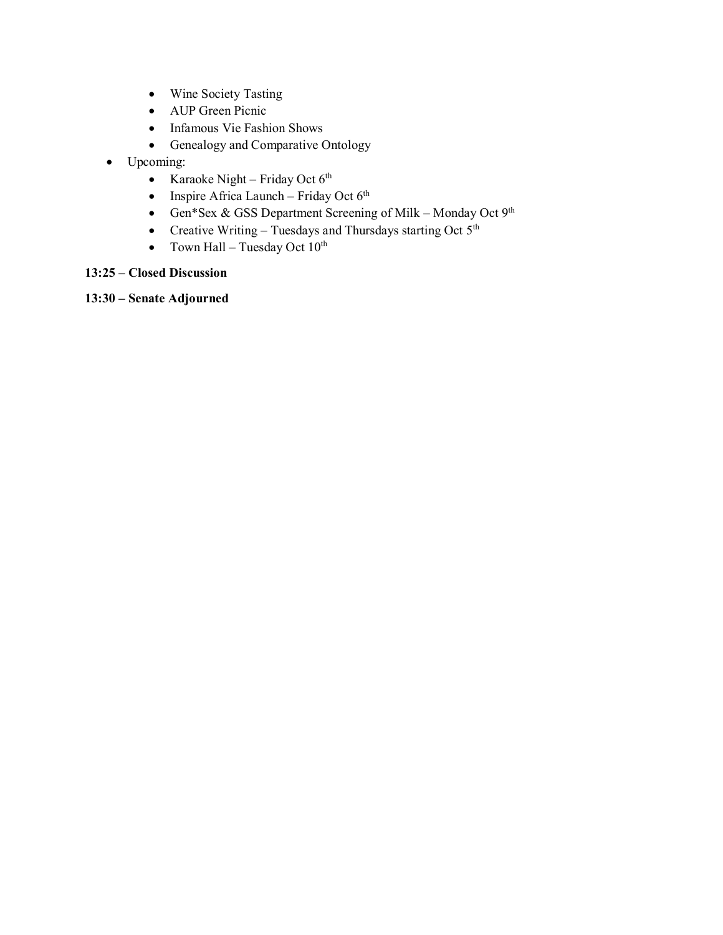- Wine Society Tasting
- AUP Green Picnic
- Infamous Vie Fashion Shows
- Genealogy and Comparative Ontology
- Upcoming:
	- Karaoke Night Friday Oct  $6<sup>th</sup>$
	- Inspire Africa Launch Friday Oct  $6<sup>th</sup>$
	- Gen\*Sex & GSS Department Screening of Milk Monday Oct  $9<sup>th</sup>$
	- Creative Writing Tuesdays and Thursdays starting Oct  $5<sup>th</sup>$
	- Town Hall Tuesday Oct  $10^{th}$

### **13:25 – Closed Discussion**

**13:30 – Senate Adjourned**